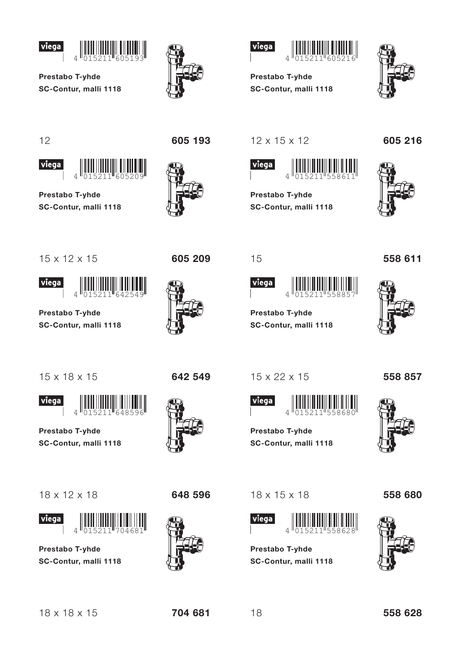







Prestabo T-yhde SC-Contur, malli 1118



 $12$ 

viega



Prestabo T-yhde SC-Contur, malli 1118

 $\overline{A}$ 

605 193





605 209

642 549

 $12 \times 15 \times 12$ 

15

viega

Prestabo T-yhde

15 x 22 x 15

Prestabo T-yhde

SC-Contur, malli 1118

viega

SC-Contur, malli 1118



55885

Prestabo T-yhde SC-Contur, malli 1118 605 216



15 x 12 x 15





Prestabo T-yhde SC-Contur, malli 1118



viega

Prestabo T-yhde SC-Contur, malli 1118



*viega* 



Prestabo T-yhde SC-Contur, malli 1118





 $18 \times 15 \times 18$ 



**Prestabo T-yhde** SC-Contur, malli 1118





558 857



558 680



558 628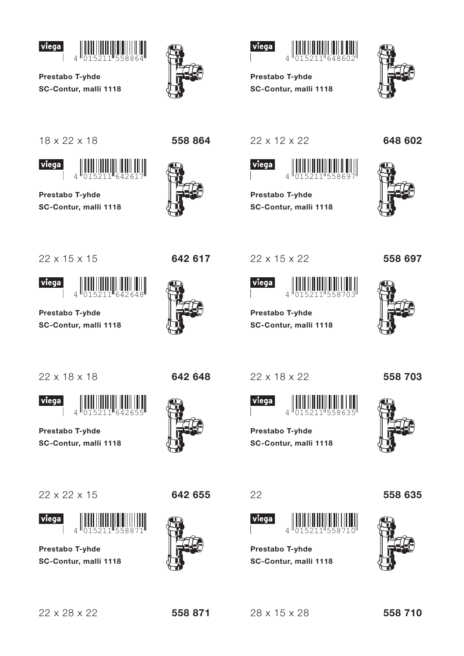



 $\overline{A}$ 



558 864



**Prestabo T-vhde** SC-Contur, malli 1118



18 x 22 x 18





Prestabo T-yhde SC-Contur, malli 1118

 $\Delta$ 



22 x 15 x 15

642 617





Prestabo T-yhde SC-Contur, malli 1118





Prestabo T-yhde SC-Contur, malli 1118





Prestabo T-yhde SC-Contur, malli 1118



642 648



22 x 12 x 22



Prestabo T-yhde SC-Contur, malli 1118



648 602



22 x 15 x 22



Prestabo T-vhde SC-Contur, malli 1118



558 697

22 x 18 x 22

viega

558 703



Prestabo T-yhde SC-Contur, malli 1118



22

viega  $\Delta$ 



**Prestabo T-yhde** SC-Contur, malli 1118



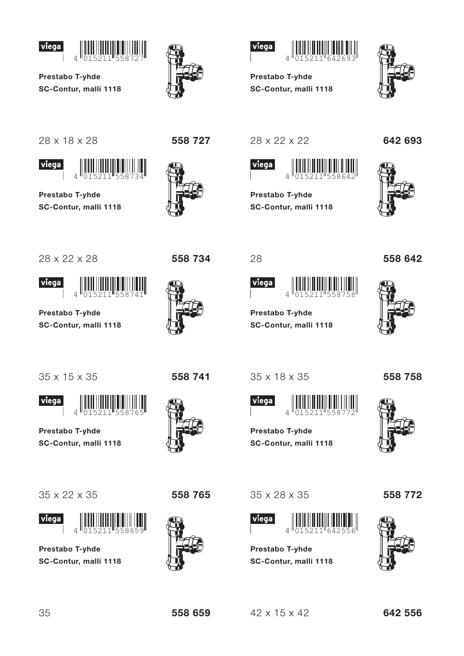







28 x 18 x 28





Prestabo T-yhde SC-Contur, malli 1118





28 x 22 x 22

Prestabo T-yhde

SC-Contur, malli 1118



Prestabo T-yhde SC-Contur, malli 1118





558 642

28 x 22 x 28



viega



Prestabo T-yhde SC-Contur, malli 1118



viega

Prestabo T-yhde SC-Contur, malli 1118



*viega* 



Prestabo T-yhde SC-Contur, malli 1118



35 x 18 x 35

Prestabo T-yhde

SC-Contur, malli 1118

28

viega



558758

558 758



Prestabo T-yhde SC-Contur, malli 1118

35 x 28 x 35



**Prestabo T-yhde** SC-Contur, malli 1118 558 772



558 765

 $42 \times 15 \times 42$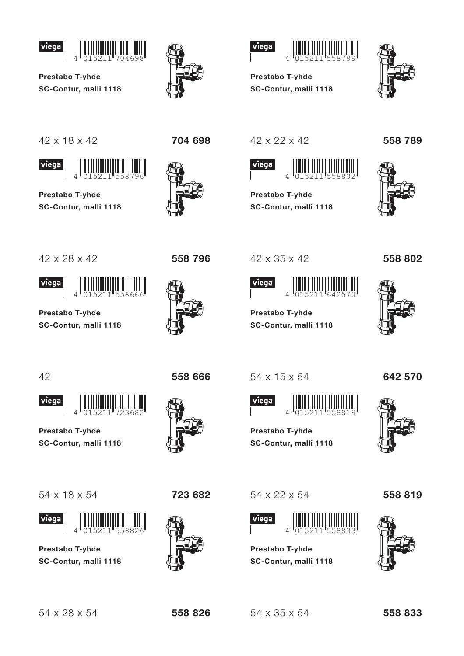



 $\overline{A}$ 



704 698



Prestabo T-yhde SC-Contur, malli 1118



42 x 18 x 42





Prestabo T-yhde SC-Contur, malli 1118



558 796





Prestabo T-yhde SC-Contur, malli 1118



558 666

42 x 35 x 42

42 x 22 x 42

 $\overline{A}$ 

SC-Contur, malli 1118

Prestabo T-yhde

viega



Prestabo T-vhde SC-Contur, malli 1118





558 802



42



Prestabo T-yhde

54 x 18 x 54

 $\Delta$ 

SC-Contur, malli 1118

Prestabo T-yhde

l viega

SC-Contur, malli 1118



723 682

54 x 15 x 54







Prestabo T-yhde SC-Contur, malli 1118

 $\overline{\Lambda}$ 

SC-Contur, malli 1118

**Prestabo T-yhde** 

54 x 22 x 54

viega

558 819



558 826

 $54 \times 35 \times 54$